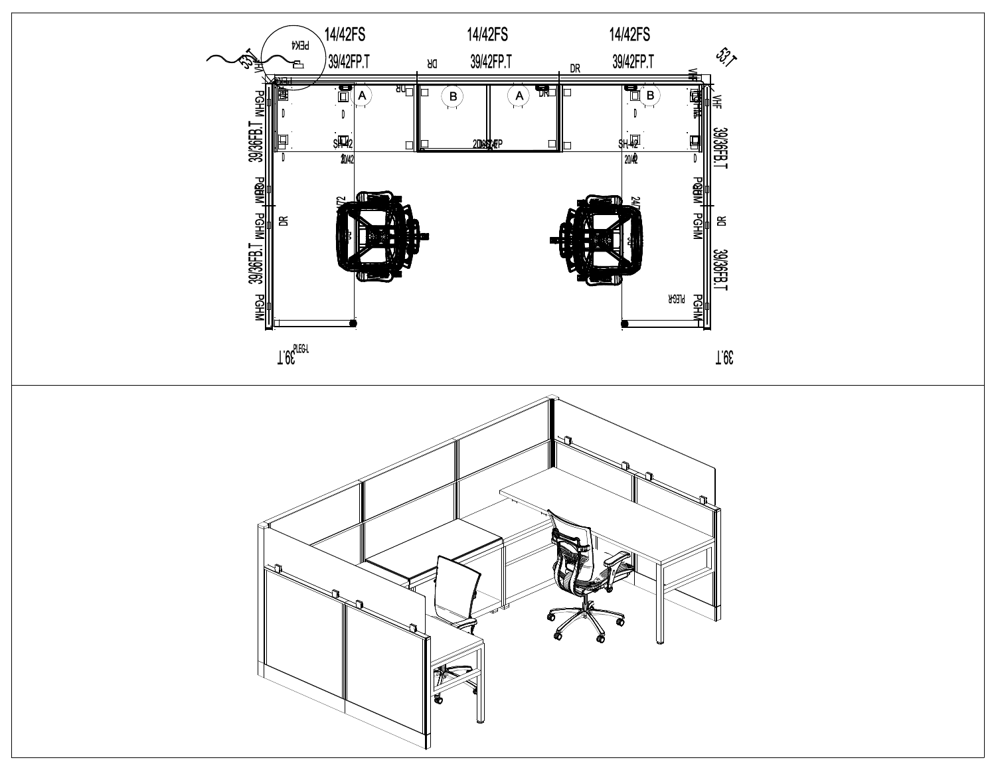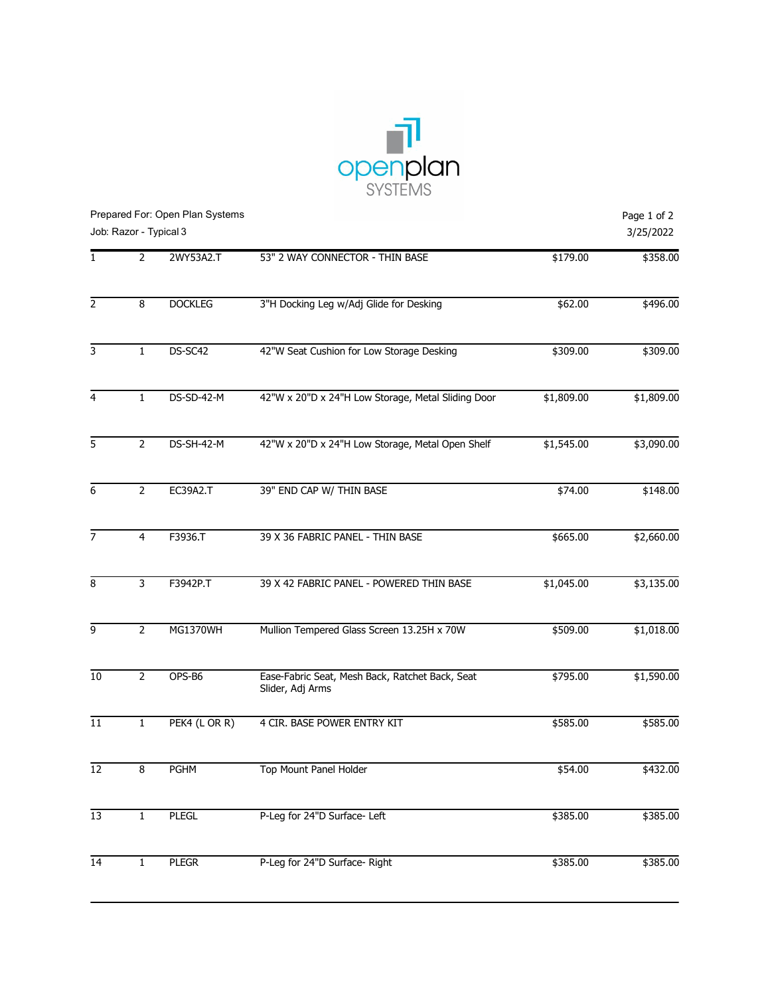

| Prepared For: Open Plan Systems<br>Job: Razor - Typical 3 |                |                 |                                                                     |            |            |  |
|-----------------------------------------------------------|----------------|-----------------|---------------------------------------------------------------------|------------|------------|--|
| 1                                                         | $\overline{2}$ | 2WY53A2.T       | 53" 2 WAY CONNECTOR - THIN BASE                                     | \$179.00   | \$358.00   |  |
| $\overline{2}$                                            | 8              | <b>DOCKLEG</b>  | 3"H Docking Leg w/Adj Glide for Desking                             | \$62.00    | \$496.00   |  |
| 3                                                         | $1\,$          | DS-SC42         | 42"W Seat Cushion for Low Storage Desking                           | \$309.00   | \$309.00   |  |
| 4                                                         | $1\,$          | DS-SD-42-M      | 42"W x 20"D x 24"H Low Storage, Metal Sliding Door                  | \$1,809.00 | \$1,809.00 |  |
| 5                                                         | $\overline{2}$ | DS-SH-42-M      | 42"W x 20"D x 24"H Low Storage, Metal Open Shelf                    | \$1,545.00 | \$3,090.00 |  |
| 6                                                         | $\overline{2}$ | <b>EC39A2.T</b> | 39" END CAP W/ THIN BASE                                            | \$74.00    | \$148.00   |  |
| $\overline{7}$                                            | 4              | F3936.T         | 39 X 36 FABRIC PANEL - THIN BASE                                    | \$665.00   | \$2,660.00 |  |
| 8                                                         | 3              | F3942P.T        | 39 X 42 FABRIC PANEL - POWERED THIN BASE                            | \$1,045.00 | \$3,135.00 |  |
| 9                                                         | $\overline{2}$ | MG1370WH        | Mullion Tempered Glass Screen 13.25H x 70W                          | \$509.00   | \$1,018.00 |  |
| 10                                                        | $\overline{2}$ | OPS-B6          | Ease-Fabric Seat, Mesh Back, Ratchet Back, Seat<br>Slider, Adj Arms | \$795.00   | \$1,590.00 |  |
| 11                                                        | $\mathbf{1}$   | PEK4 (LOR R)    | 4 CIR. BASE POWER ENTRY KIT                                         | \$585.00   | \$585.00   |  |
| 12                                                        | 8              | <b>PGHM</b>     | Top Mount Panel Holder                                              | \$54.00    | \$432.00   |  |
| $\overline{13}$                                           | 1              | <b>PLEGL</b>    | P-Leg for 24"D Surface- Left                                        | \$385.00   | \$385.00   |  |
| $\overline{14}$                                           | $\mathbf{1}$   | <b>PLEGR</b>    | P-Leg for 24"D Surface- Right                                       | \$385.00   | \$385.00   |  |